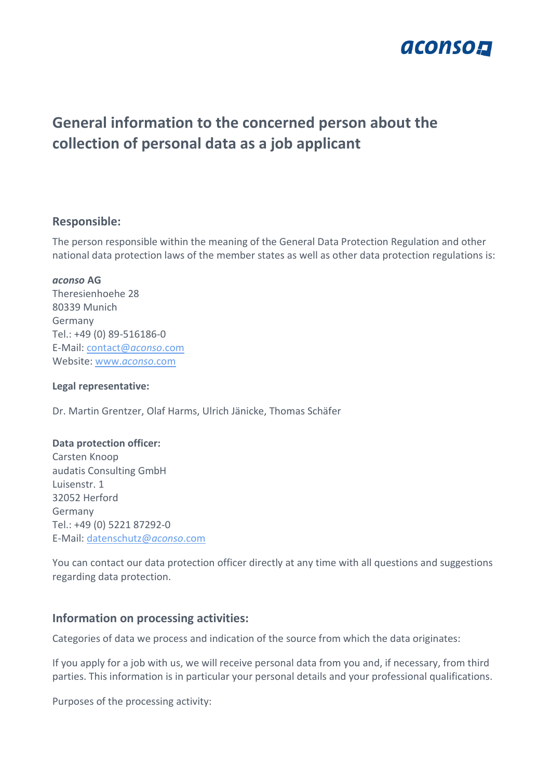

# **General information to the concerned person about the collection of personal data as a job applicant**

## **Responsible:**

The person responsible within the meaning of the General Data Protection Regulation and other national data protection laws of the member states as well as other data protection regulations is:

## *aconso* **AG**

Theresienhoehe 28 80339 Munich Germany Tel.: +49 (0) 89-516186-0 E-Mail: [contact@](mailto:contact@aconso.com)*aconso*.com Website: www.*[aconso](http://www.aconso.com/)*.com

## **Legal representative:**

Dr. Martin Grentzer, Olaf Harms, Ulrich Jänicke, Thomas Schäfer

#### **Data protection officer:**

Carsten Knoop audatis Consulting GmbH Luisenstr. 1 32052 Herford Germany Tel.: +49 (0) 5221 87292-0 E-Mail: [datenschutz@](mailto:datenschutz@aconso.com)*aconso*.com

You can contact our data protection officer directly at any time with all questions and suggestions regarding data protection.

# **Information on processing activities:**

Categories of data we process and indication of the source from which the data originates:

If you apply for a job with us, we will receive personal data from you and, if necessary, from third parties. This information is in particular your personal details and your professional qualifications.

Purposes of the processing activity: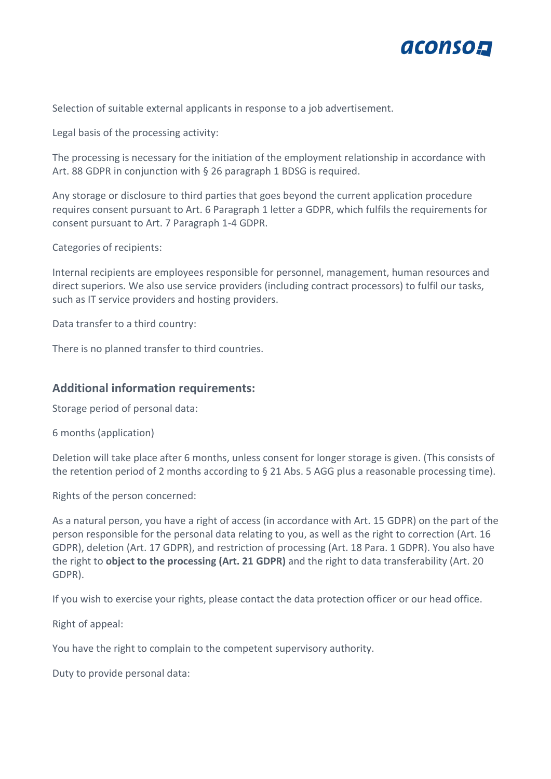

Selection of suitable external applicants in response to a job advertisement.

Legal basis of the processing activity:

The processing is necessary for the initiation of the employment relationship in accordance with Art. 88 GDPR in conjunction with § 26 paragraph 1 BDSG is required.

Any storage or disclosure to third parties that goes beyond the current application procedure requires consent pursuant to Art. 6 Paragraph 1 letter a GDPR, which fulfils the requirements for consent pursuant to Art. 7 Paragraph 1-4 GDPR.

Categories of recipients:

Internal recipients are employees responsible for personnel, management, human resources and direct superiors. We also use service providers (including contract processors) to fulfil our tasks, such as IT service providers and hosting providers.

Data transfer to a third country:

There is no planned transfer to third countries.

## **Additional information requirements:**

Storage period of personal data:

6 months (application)

Deletion will take place after 6 months, unless consent for longer storage is given. (This consists of the retention period of 2 months according to § 21 Abs. 5 AGG plus a reasonable processing time).

Rights of the person concerned:

As a natural person, you have a right of access (in accordance with Art. 15 GDPR) on the part of the person responsible for the personal data relating to you, as well as the right to correction (Art. 16 GDPR), deletion (Art. 17 GDPR), and restriction of processing (Art. 18 Para. 1 GDPR). You also have the right to **object to the processing (Art. 21 GDPR)** and the right to data transferability (Art. 20 GDPR).

If you wish to exercise your rights, please contact the data protection officer or our head office.

Right of appeal:

You have the right to complain to the competent supervisory authority.

Duty to provide personal data: